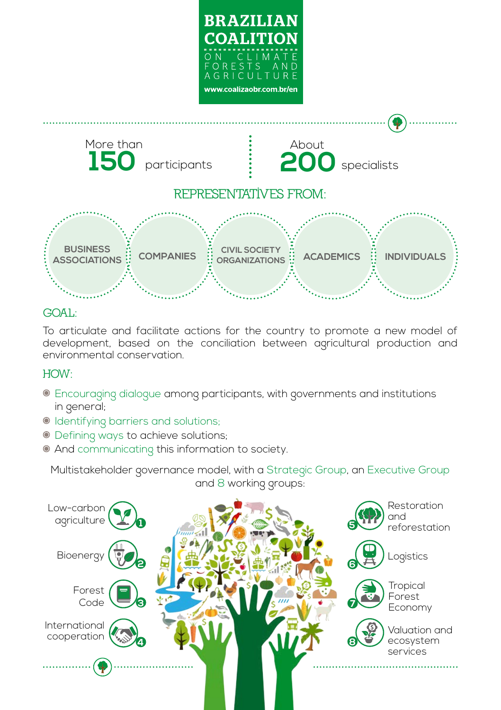

## **GOAL:**

To articulate and facilitate actions for the country to promote a new model of development, based on the conciliation between agricultural production and environmental conservation.

## **HOW:**

- Encouraging dialogue among participants, with governments and institutions in general;
- Identifying barriers and solutions;
- Defining ways to achieve solutions;
- And communicating this information to society.

Multistakeholder governance model, with a Strategic Group, an Executive Group and 8 working groups: